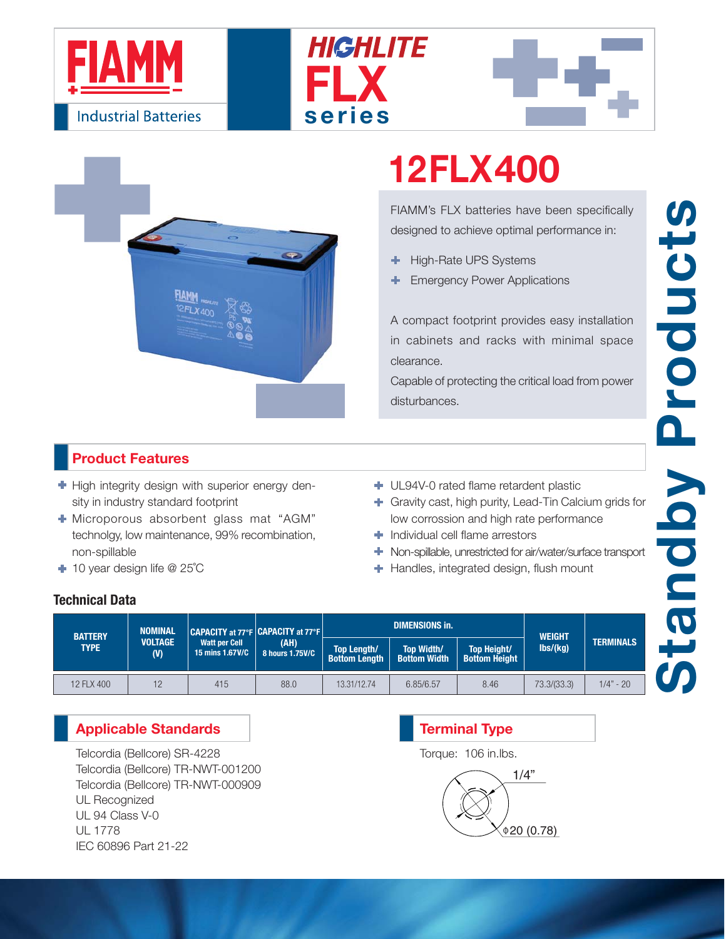







# **12FLX400**

FIAMM's FLX batteries have been specifically designed to achieve optimal performance in:

- High-Rate UPS Systems ٠
- Emergency Power Applications

A compact footprint provides easy installation in cabinets and racks with minimal space clearance.

Capable of protecting the critical load from power disturbances.

### **Product Features**

- $\blacktriangleright$  High integrity design with superior energy density in industry standard footprint
- Microporous absorbent glass mat "AGM" technolgy, low maintenance, 99% recombination, non-spillable
- 10 year design life @ 25˚C
- UL94V-0 rated flame retardent plastic
- Gravity cast, high purity, Lead-Tin Calcium grids for low corrossion and high rate performance
- **Individual cell flame arrestors**
- Non-spillable, unrestricted for air/water/surface transport
- **+** Handles, integrated design, flush mount

### **Technical Data**

| <b>BATTERY</b><br><b>TYPE</b> | <b>NOMINAL</b><br><b>VOLTAGE</b><br>(V) | CAPACITY at 77°F CAPACITY at 77°F<br><b>Watt per Cell</b><br>15 mins 1.67V/C | (AH)<br>8 hours 1.75V/C |                                            | <b>DIMENSIONS in.</b>                    | <b>WEIGHT</b>                              |                              |                  |
|-------------------------------|-----------------------------------------|------------------------------------------------------------------------------|-------------------------|--------------------------------------------|------------------------------------------|--------------------------------------------|------------------------------|------------------|
|                               |                                         |                                                                              |                         | <b>Top Length/</b><br><b>Bottom Length</b> | <b>Top Width/</b><br><b>Bottom Width</b> | <b>Top Height/</b><br><b>Bottom Height</b> | $\mathsf{lbs}/\mathsf{(kg)}$ | <b>TERMINALS</b> |
| 12 FLX 400                    | 12                                      | 415                                                                          | 88.0                    | 13.31/12.74                                | 6.85/6.57                                | 8.46                                       | 73.3/(33.3)                  | $1/4" - 20$      |

### **Applicable Standards**

Telcordia (Bellcore) SR-4228 Telcordia (Bellcore) TR-NWT-001200 Telcordia (Bellcore) TR-NWT-000909 UL Recognized UL 94 Class V-0 UL 1778 IEC 60896 Part 21-22

## 1/4"  $0.78$ **Terminal Type** Torque: 106 in.lbs.